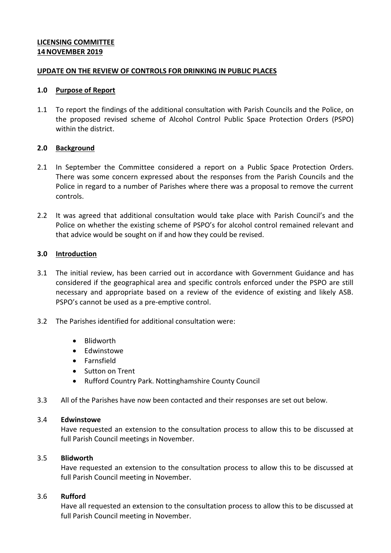# **LICENSING COMMITTEE 14NOVEMBER 2019**

## **UPDATE ON THE REVIEW OF CONTROLS FOR DRINKING IN PUBLIC PLACES**

#### **1.0 Purpose of Report**

1.1 To report the findings of the additional consultation with Parish Councils and the Police, on the proposed revised scheme of Alcohol Control Public Space Protection Orders (PSPO) within the district.

## **2.0 Background**

- 2.1 In September the Committee considered a report on a Public Space Protection Orders. There was some concern expressed about the responses from the Parish Councils and the Police in regard to a number of Parishes where there was a proposal to remove the current controls.
- 2.2 It was agreed that additional consultation would take place with Parish Council's and the Police on whether the existing scheme of PSPO's for alcohol control remained relevant and that advice would be sought on if and how they could be revised.

#### **3.0 Introduction**

- 3.1 The initial review, has been carried out in accordance with Government Guidance and has considered if the geographical area and specific controls enforced under the PSPO are still necessary and appropriate based on a review of the evidence of existing and likely ASB. PSPO's cannot be used as a pre-emptive control.
- 3.2 The Parishes identified for additional consultation were:
	- Blidworth
	- Edwinstowe
	- Farnsfield
	- Sutton on Trent
	- Rufford Country Park. Nottinghamshire County Council
- 3.3 All of the Parishes have now been contacted and their responses are set out below.

# 3.4 **Edwinstowe**

Have requested an extension to the consultation process to allow this to be discussed at full Parish Council meetings in November.

#### 3.5 **Blidworth**

Have requested an extension to the consultation process to allow this to be discussed at full Parish Council meeting in November.

## 3.6 **Rufford**

Have all requested an extension to the consultation process to allow this to be discussed at full Parish Council meeting in November.